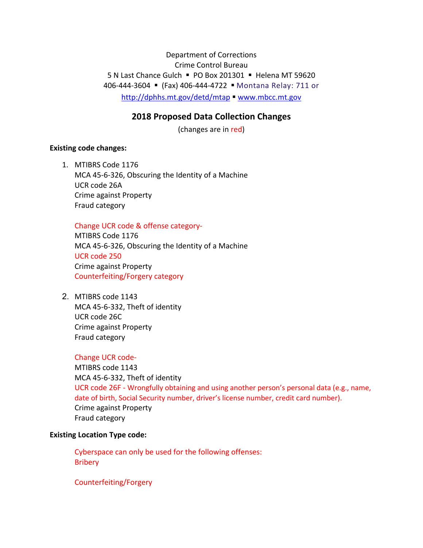Department of Corrections Crime Control Bureau 5 N Last Chance Gulch PO Box 201301 Helena MT 59620 406‐444‐3604 (Fax) 406‐444‐4722 Montana Relay: 711 or http://dphhs.mt.gov/detd/mtap www.mbcc.mt.gov

# **2018 Proposed Data Collection Changes**

(changes are in red)

## **Existing code changes:**

1. MTIBRS Code 1176 MCA 45‐6‐326, Obscuring the Identity of a Machine UCR code 26A Crime against Property Fraud category

# Change UCR code & offense category‐

MTIBRS Code 1176 MCA 45‐6‐326, Obscuring the Identity of a Machine UCR code 250 Crime against Property Counterfeiting/Forgery category

2. MTIBRS code 1143 MCA 45‐6‐332, Theft of identity UCR code 26C Crime against Property Fraud category

#### Change UCR code‐

MTIBRS code 1143 MCA 45‐6‐332, Theft of identity UCR code 26F - Wrongfully obtaining and using another person's personal data (e.g., name, date of birth, Social Security number, driver's license number, credit card number). Crime against Property Fraud category

#### **Existing Location Type code:**

Cyberspace can only be used for the following offenses: Bribery

Counterfeiting/Forgery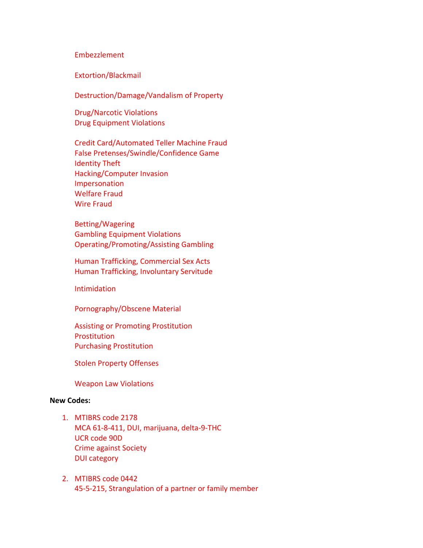#### Embezzlement

Extortion/Blackmail

Destruction/Damage/Vandalism of Property

Drug/Narcotic Violations Drug Equipment Violations

Credit Card/Automated Teller Machine Fraud False Pretenses/Swindle/Confidence Game Identity Theft Hacking/Computer Invasion Impersonation Welfare Fraud Wire Fraud

Betting/Wagering Gambling Equipment Violations Operating/Promoting/Assisting Gambling

Human Trafficking, Commercial Sex Acts Human Trafficking, Involuntary Servitude

Intimidation

Pornography/Obscene Material

Assisting or Promoting Prostitution **Prostitution** Purchasing Prostitution

Stolen Property Offenses

Weapon Law Violations

## **New Codes:**

- 1. MTIBRS code 2178 MCA 61‐8‐411, DUI, marijuana, delta‐9‐THC UCR code 90D Crime against Society DUI category
- 2. MTIBRS code 0442 45‐5‐215, Strangulation of a partner or family member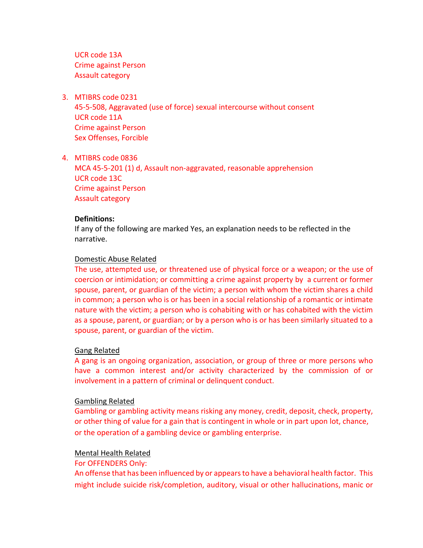UCR code 13A Crime against Person Assault category

3. MTIBRS code 0231

45‐5‐508, Aggravated (use of force) sexual intercourse without consent UCR code 11A Crime against Person Sex Offenses, Forcible

4. MTIBRS code 0836 MCA 45‐5‐201 (1) d, Assault non‐aggravated, reasonable apprehension UCR code 13C Crime against Person Assault category

## **Definitions:**

If any of the following are marked Yes, an explanation needs to be reflected in the narrative.

## Domestic Abuse Related

The use, attempted use, or threatened use of physical force or a weapon; or the use of coercion or intimidation; or committing a crime against property by a current or former spouse, parent, or guardian of the victim; a person with whom the victim shares a child in common; a person who is or has been in a social relationship of a romantic or intimate nature with the victim; a person who is cohabiting with or has cohabited with the victim as a spouse, parent, or guardian; or by a person who is or has been similarly situated to a spouse, parent, or guardian of the victim.

#### Gang Related

A gang is an ongoing organization, association, or group of three or more persons who have a common interest and/or activity characterized by the commission of or involvement in a pattern of criminal or delinquent conduct.

# Gambling Related

Gambling or gambling activity means risking any money, credit, deposit, check, property, or other thing of value for a gain that is contingent in whole or in part upon lot, chance, or the operation of a gambling device or gambling enterprise.

# Mental Health Related

# For OFFENDERS Only:

An offense that has been influenced by or appears to have a behavioral health factor. This might include suicide risk/completion, auditory, visual or other hallucinations, manic or